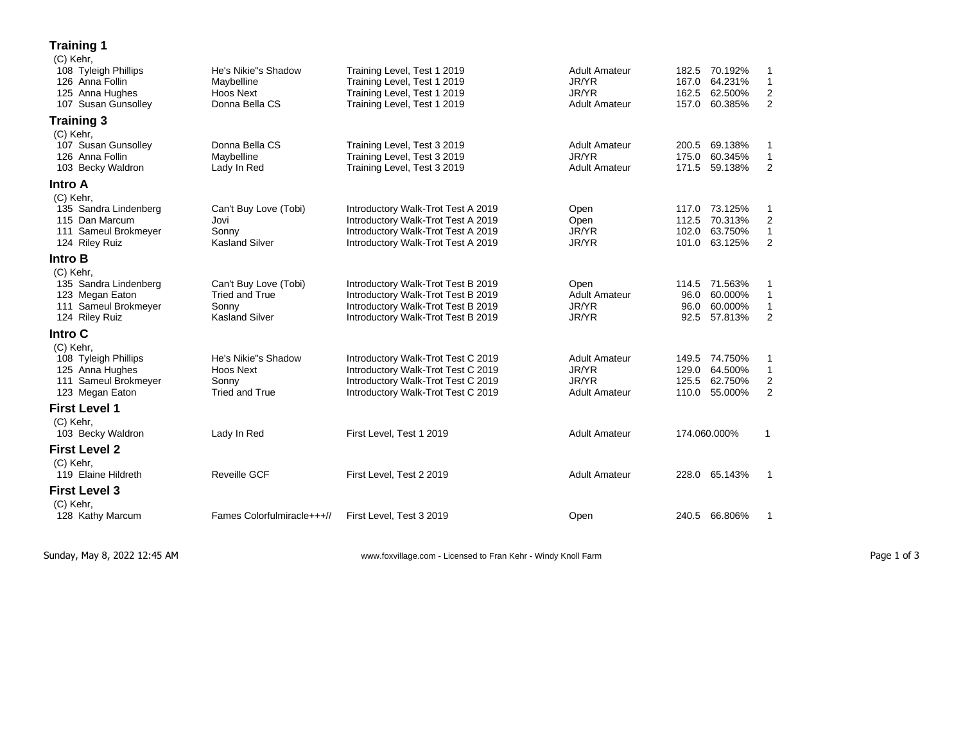## **Training 1**

| (C) Kehr,             |                            |                                    |                      |       |               |                  |
|-----------------------|----------------------------|------------------------------------|----------------------|-------|---------------|------------------|
| 108 Tyleigh Phillips  | He's Nikie"s Shadow        | Training Level, Test 1 2019        | <b>Adult Amateur</b> | 182.5 | 70.192%       | 1                |
| 126 Anna Follin       | Maybelline                 | Training Level, Test 1 2019        | JR/YR                | 167.0 | 64.231%       | $\mathbf{1}$     |
| 125 Anna Hughes       | Hoos Next                  | Training Level, Test 1 2019        | JR/YR                | 162.5 | 62.500%       | $\boldsymbol{2}$ |
| 107 Susan Gunsolley   | Donna Bella CS             | Training Level, Test 1 2019        | <b>Adult Amateur</b> | 157.0 | 60.385%       | $\overline{c}$   |
| <b>Training 3</b>     |                            |                                    |                      |       |               |                  |
| (C) Kehr,             |                            |                                    |                      |       |               |                  |
| 107 Susan Gunsolley   | Donna Bella CS             | Training Level, Test 3 2019        | <b>Adult Amateur</b> | 200.5 | 69.138%       | 1                |
| 126 Anna Follin       | Maybelline                 | Training Level, Test 3 2019        | JR/YR                | 175.0 | 60.345%       | $\mathbf{1}$     |
| 103 Becky Waldron     | Lady In Red                | Training Level, Test 3 2019        | <b>Adult Amateur</b> | 171.5 | 59.138%       | $\overline{2}$   |
| Intro A               |                            |                                    |                      |       |               |                  |
| (C) Kehr,             |                            |                                    |                      |       |               |                  |
| 135 Sandra Lindenberg | Can't Buy Love (Tobi)      | Introductory Walk-Trot Test A 2019 | Open                 | 117.0 | 73.125%       | 1                |
| 115 Dan Marcum        | Jovi                       | Introductory Walk-Trot Test A 2019 | Open                 | 112.5 | 70.313%       | $\boldsymbol{2}$ |
| 111 Sameul Brokmeyer  | Sonny                      | Introductory Walk-Trot Test A 2019 | JR/YR                | 102.0 | 63.750%       | $\mathbf{1}$     |
| 124 Riley Ruiz        | <b>Kasland Silver</b>      | Introductory Walk-Trot Test A 2019 | JR/YR                | 101.0 | 63.125%       | $\overline{2}$   |
| Intro B               |                            |                                    |                      |       |               |                  |
| (C) Kehr,             |                            |                                    |                      |       |               |                  |
| 135 Sandra Lindenberg | Can't Buy Love (Tobi)      | Introductory Walk-Trot Test B 2019 | Open                 |       | 114.5 71.563% | 1                |
| 123 Megan Eaton       | <b>Tried and True</b>      | Introductory Walk-Trot Test B 2019 | <b>Adult Amateur</b> | 96.0  | 60.000%       | $\mathbf{1}$     |
| 111 Sameul Brokmeyer  | Sonny                      | Introductory Walk-Trot Test B 2019 | JR/YR                | 96.0  | 60.000%       | 1                |
| 124 Riley Ruiz        | <b>Kasland Silver</b>      | Introductory Walk-Trot Test B 2019 | JR/YR                | 92.5  | 57.813%       | 2                |
| Intro C               |                            |                                    |                      |       |               |                  |
| (C) Kehr,             |                            |                                    |                      |       |               |                  |
| 108 Tyleigh Phillips  | He's Nikie"s Shadow        | Introductory Walk-Trot Test C 2019 | <b>Adult Amateur</b> | 149.5 | 74.750%       | 1                |
| 125 Anna Hughes       | Hoos Next                  | Introductory Walk-Trot Test C 2019 | JR/YR                | 129.0 | 64.500%       | $\mathbf{1}$     |
| 111 Sameul Brokmeyer  | Sonny                      | Introductory Walk-Trot Test C 2019 | JR/YR                | 125.5 | 62.750%       | 2                |
| 123 Megan Eaton       | <b>Tried and True</b>      | Introductory Walk-Trot Test C 2019 | <b>Adult Amateur</b> | 110.0 | 55.000%       | $\overline{2}$   |
| <b>First Level 1</b>  |                            |                                    |                      |       |               |                  |
| (C) Kehr,             |                            |                                    |                      |       |               |                  |
| 103 Becky Waldron     | Lady In Red                | First Level, Test 1 2019           | <b>Adult Amateur</b> |       | 174.060.000%  | $\mathbf{1}$     |
| <b>First Level 2</b>  |                            |                                    |                      |       |               |                  |
| (C) Kehr,             |                            |                                    |                      |       |               |                  |
| 119 Elaine Hildreth   | <b>Reveille GCF</b>        | First Level, Test 2 2019           | <b>Adult Amateur</b> | 228.0 | 65.143%       | $\mathbf{1}$     |
| <b>First Level 3</b>  |                            |                                    |                      |       |               |                  |
| (C) Kehr,             |                            |                                    |                      |       |               |                  |
| 128 Kathy Marcum      | Fames Colorfulmiracle+++// | First Level, Test 3 2019           | Open                 | 240.5 | 66.806%       | 1                |
|                       |                            |                                    |                      |       |               |                  |

Sunday, May 8, 2022 12:45 AM **Page 1 of 3** www.foxvillage.com - Licensed to Fran Kehr - Windy Knoll Farm Page 1 of 3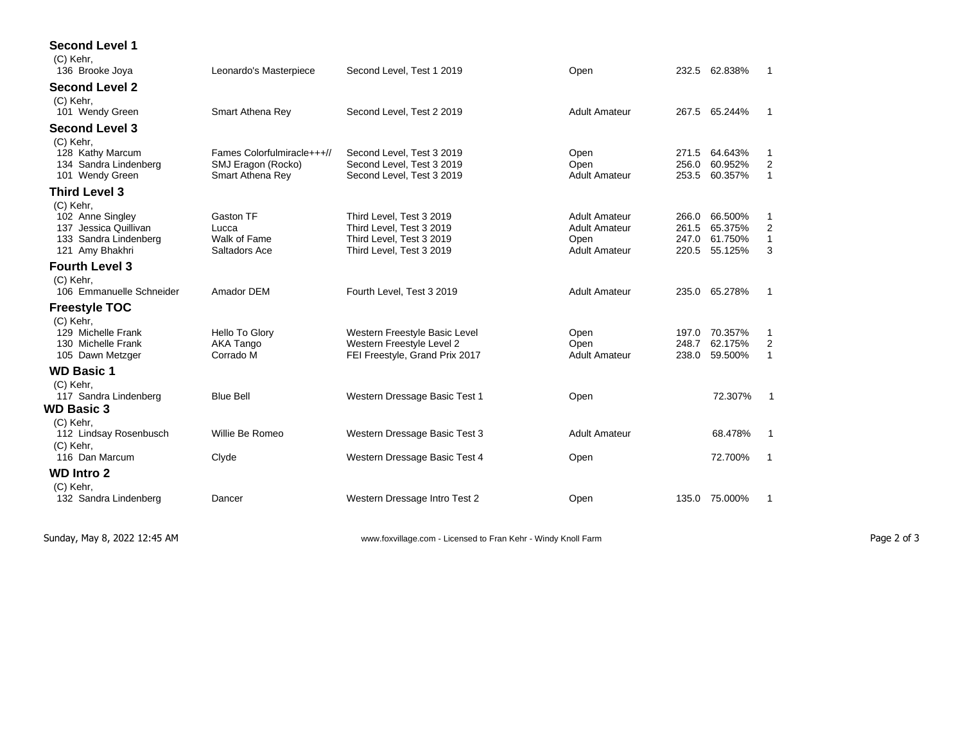| <b>Second Level 1</b><br>(C) Kehr, |                             |                                                            |                      |                |               |                |
|------------------------------------|-----------------------------|------------------------------------------------------------|----------------------|----------------|---------------|----------------|
| 136 Brooke Joya                    | Leonardo's Masterpiece      | Second Level, Test 1 2019                                  | Open                 |                | 232.5 62.838% | $\overline{1}$ |
| <b>Second Level 2</b>              |                             |                                                            |                      |                |               |                |
| (C) Kehr,                          |                             |                                                            |                      |                |               |                |
| 101 Wendy Green                    | Smart Athena Rey            | Second Level, Test 2 2019                                  | <b>Adult Amateur</b> |                | 267.5 65.244% | $\overline{1}$ |
| <b>Second Level 3</b>              |                             |                                                            |                      |                |               |                |
| (C) Kehr,                          |                             |                                                            |                      |                |               |                |
| 128 Kathy Marcum                   | Fames Colorfulmiracle+++//  | Second Level, Test 3 2019                                  | Open                 | 271.5          | 64.643%       | 1              |
| 134 Sandra Lindenberg              | SMJ Eragon (Rocko)          | Second Level, Test 3 2019                                  | Open                 | 256.0          | 60.952%       | 2              |
| 101 Wendy Green                    | Smart Athena Rey            | Second Level, Test 3 2019                                  | <b>Adult Amateur</b> | 253.5          | 60.357%       | $\mathbf{1}$   |
| <b>Third Level 3</b>               |                             |                                                            |                      |                |               |                |
| (C) Kehr,                          |                             |                                                            |                      |                |               |                |
| 102 Anne Singley                   | Gaston TF                   | Third Level. Test 3 2019                                   | <b>Adult Amateur</b> | 266.0          | 66.500%       | 1              |
| 137 Jessica Quillivan              | Lucca                       | Third Level, Test 3 2019                                   | <b>Adult Amateur</b> | 261.5          | 65.375%       | 2              |
| 133 Sandra Lindenberg              | Walk of Fame                | Third Level. Test 3 2019                                   | Open                 | 247.0          | 61.750%       | $\mathbf{1}$   |
| 121 Amy Bhakhri                    | Saltadors Ace               | Third Level, Test 3 2019                                   | <b>Adult Amateur</b> | 220.5          | 55.125%       | 3              |
| <b>Fourth Level 3</b>              |                             |                                                            |                      |                |               |                |
| (C) Kehr,                          |                             |                                                            |                      |                |               |                |
| 106 Emmanuelle Schneider           | Amador DEM                  | Fourth Level. Test 3 2019                                  | <b>Adult Amateur</b> |                | 235.0 65.278% | -1             |
| <b>Freestyle TOC</b>               |                             |                                                            |                      |                |               |                |
|                                    |                             |                                                            |                      |                |               |                |
| (C) Kehr,<br>129 Michelle Frank    |                             |                                                            |                      |                | 70.357%       |                |
| 130 Michelle Frank                 | Hello To Glory<br>AKA Tango | Western Freestyle Basic Level<br>Western Freestyle Level 2 | Open<br>Open         | 197.0<br>248.7 | 62.175%       | 1<br>2         |
|                                    | Corrado M                   | FEI Freestyle, Grand Prix 2017                             | <b>Adult Amateur</b> | 238.0          | 59.500%       | $\mathbf{1}$   |
| 105 Dawn Metzger                   |                             |                                                            |                      |                |               |                |
| <b>WD Basic 1</b>                  |                             |                                                            |                      |                |               |                |
| (C) Kehr,                          |                             |                                                            |                      |                |               |                |
| 117 Sandra Lindenberg              | <b>Blue Bell</b>            | Western Dressage Basic Test 1                              | Open                 |                | 72.307%       | $\mathbf 1$    |
| <b>WD Basic 3</b>                  |                             |                                                            |                      |                |               |                |
| (C) Kehr,                          |                             |                                                            |                      |                |               |                |
| 112 Lindsay Rosenbusch             | Willie Be Romeo             | Western Dressage Basic Test 3                              | <b>Adult Amateur</b> |                | 68.478%       | $\mathbf{1}$   |
| (C) Kehr,                          |                             |                                                            |                      |                |               |                |
| 116 Dan Marcum                     | Clyde                       | Western Dressage Basic Test 4                              | Open                 |                | 72.700%       | -1             |
| <b>WD Intro 2</b>                  |                             |                                                            |                      |                |               |                |
| (C) Kehr,                          |                             |                                                            |                      |                |               |                |
| 132 Sandra Lindenberg              | Dancer                      | Western Dressage Intro Test 2                              | Open                 |                | 135.0 75.000% | 1              |
|                                    |                             |                                                            |                      |                |               |                |

Sunday, May 8, 2022 12:45 AM **Page 2 of 3** www.foxvillage.com - Licensed to Fran Kehr - Windy Knoll Farm Page 2 of 3